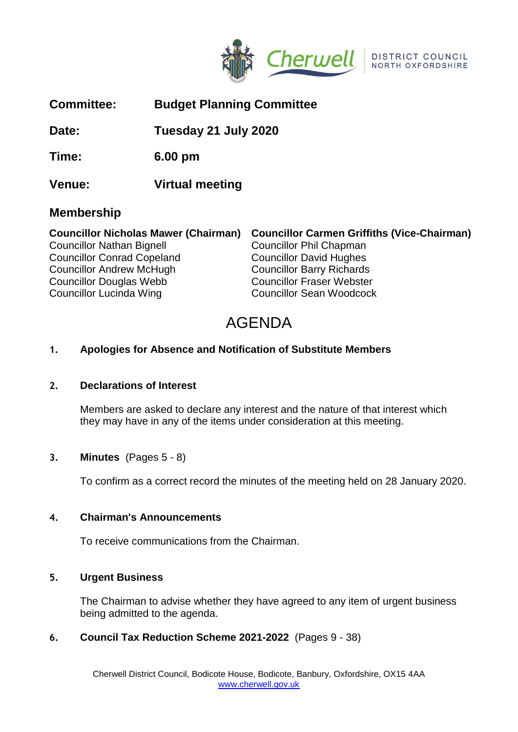

| Date:                                       |                   | Tuesday 21 July 2020                               |  |
|---------------------------------------------|-------------------|----------------------------------------------------|--|
| Time:                                       | $6.00 \text{ pm}$ |                                                    |  |
| Venue:                                      | Virtual meeting   |                                                    |  |
| <b>Membership</b>                           |                   |                                                    |  |
| <b>Councillor Nicholas Mawer (Chairman)</b> |                   | <b>Councillor Carmen Griffiths (Vice-Chairman)</b> |  |
| <b>Councillor Nathan Bignell</b>            |                   | <b>Councillor Phil Chapman</b>                     |  |
| <b>Councillor Conrad Copeland</b>           |                   | <b>Councillor David Hughes</b>                     |  |
| <b>Councillor Andrew McHugh</b>             |                   | <b>Councillor Barry Richards</b>                   |  |
| <b>Councillor Douglas Webb</b>              |                   | <b>Councillor Fraser Webster</b>                   |  |
| <b>Councillor Lucinda Wing</b>              |                   | <b>Councillor Sean Woodcock</b>                    |  |

**Committee: Budget Planning Committee**

# AGENDA

#### **1. Apologies for Absence and Notification of Substitute Members**

# **2. Declarations of Interest**

Members are asked to declare any interest and the nature of that interest which they may have in any of the items under consideration at this meeting.

#### **3. Minutes** (Pages 5 - 8)

To confirm as a correct record the minutes of the meeting held on 28 January 2020.

#### **4. Chairman's Announcements**

To receive communications from the Chairman.

#### **5. Urgent Business**

The Chairman to advise whether they have agreed to any item of urgent business being admitted to the agenda.

# **6. Council Tax Reduction Scheme 2021-2022** (Pages 9 - 38)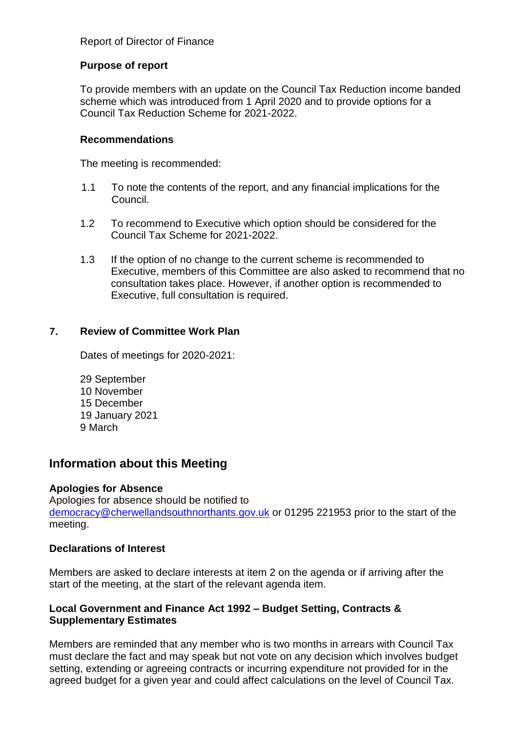# Report of Director of Finance

## **Purpose of report**

To provide members with an update on the Council Tax Reduction income banded scheme which was introduced from 1 April 2020 and to provide options for a Council Tax Reduction Scheme for 2021-2022.

#### **Recommendations**

The meeting is recommended:

- 1.1 To note the contents of the report, and any financial implications for the Council.
- 1.2 To recommend to Executive which option should be considered for the Council Tax Scheme for 2021-2022.
- 1.3 If the option of no change to the current scheme is recommended to Executive, members of this Committee are also asked to recommend that no consultation takes place. However, if another option is recommended to Executive, full consultation is required.

# **7. Review of Committee Work Plan**

Dates of meetings for 2020-2021:

29 September 10 November 15 December 19 January 2021 9 March

# **Information about this Meeting**

# **Apologies for Absence**

Apologies for absence should be notified to [democracy@cherwellandsouthnorthants.gov.uk](mailto:democracy@cherwell-dc.gov.uk) or 01295 221953 prior to the start of the meeting.

# **Declarations of Interest**

Members are asked to declare interests at item 2 on the agenda or if arriving after the start of the meeting, at the start of the relevant agenda item.

# **Local Government and Finance Act 1992 – Budget Setting, Contracts & Supplementary Estimates**

Members are reminded that any member who is two months in arrears with Council Tax must declare the fact and may speak but not vote on any decision which involves budget setting, extending or agreeing contracts or incurring expenditure not provided for in the agreed budget for a given year and could affect calculations on the level of Council Tax.